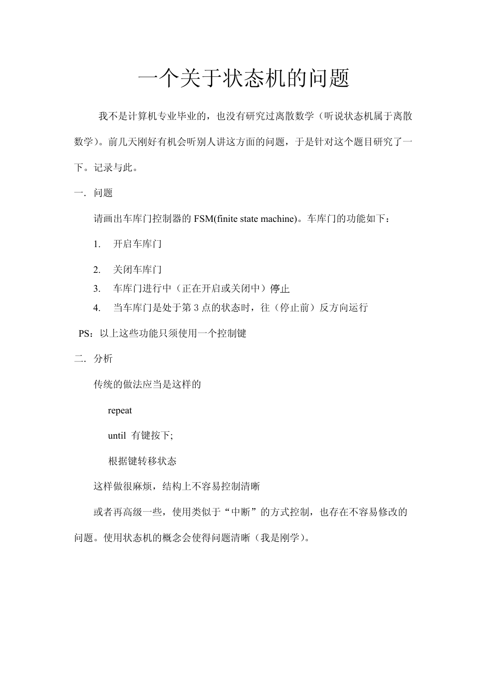## 一个关于状态机的问题

我不是计算机专业毕业的,也没有研究过离散数学(听说状态机属于离散 数学)。前几天刚好有机会听别人讲这方面的问题,于是针对这个题目研究了一 下。记录与此。

一.问题

请画出车库门控制器的 FSM(finite state machine)。车库门的功能如下:

- 1. 开启车库门
- 2. 关闭车库门
- 3. 车库门进行中(正在开启或关闭中)停止
- 4. 当车库门是处于第 3 点的状态时, 往(停止前)反方向运行
- PS:以上这些功能只须使用一个控制键
- 二.分析

传统的做法应当是这样的

repeat

until 有键按下;

根据键转移状态

这样做很麻烦,结构上不容易控制清晰

或者再高级一些,使用类似于"中断"的方式控制,也存在不容易修改的 问题。使用状态机的概念会使得问题清晰(我是刚学)。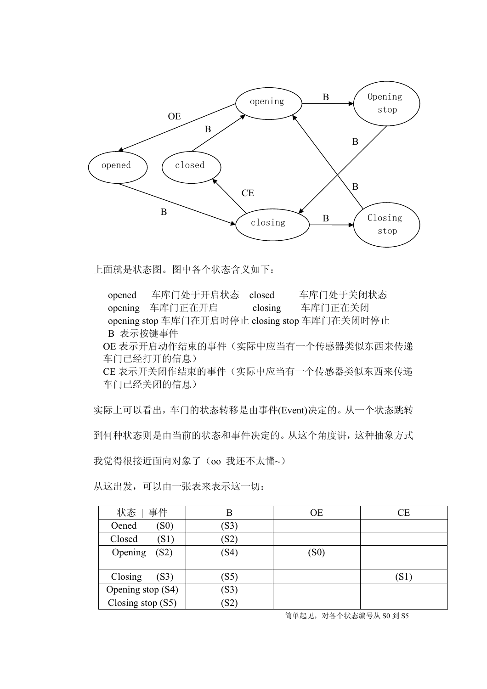

上面就是状态图。图中各个状态含义如下:

 opened 车库门处于开启状态 closed 车库门处于关闭状态 opening 车库门正在开启 closing 车库门正在关闭 opening stop 车库门在开启时停止 closing stop 车库门在关闭时停止 B 表示按键事件 OE 表示开启动作结束的事件(实际中应当有一个传感器类似东西来传递 车门已经打开的信息) CE 表示开关闭作结束的事件(实际中应当有一个传感器类似东西来传递 车门已经关闭的信息)

实际上可以看出,车门的状态转移是由事件(Event)决定的。从一个状态跳转 到何种状态则是由当前的状态和事件决定的。从这个角度讲,这种抽象方式 我觉得很接近面向对象了(oo 我还不太懂~)

从这出发,可以由一张表来表示这一切:

| 状态<br>事件            | Β            | <b>OE</b> | $\overline{\rm CE}$ |
|---------------------|--------------|-----------|---------------------|
| Oened<br>(S0)       | (S3)         |           |                     |
| Closed<br>(S1)      | (S2)         |           |                     |
| Opening<br>(S2)     | (S4)         | (S0)      |                     |
|                     |              |           |                     |
| Closing<br>(S3)     | (S5)         |           | S1)                 |
| Opening stop (S4)   | (S3)         |           |                     |
| Closing stop $(S5)$ | $ S2\rangle$ |           |                     |

简单起见,对各个状态编号从 S0 到 S5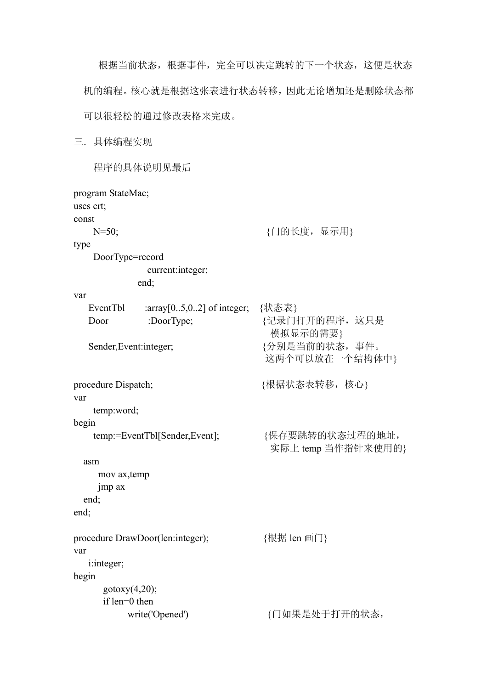根据当前状态,根据事件,完全可以决定跳转的下一个状态,这便是状态 机的编程。核心就是根据这张表进行状态转移,因此无论增加还是删除状态都 可以很轻松的通过修改表格来完成。

三.具体编程实现

程序的具体说明见最后

```
program StateMac; 
uses crt; 
const 
     N=50; {门的长度,显示用} 
type 
     DoorType=record 
                  current:integer; 
                end; 
var 
    EventTbl :array[0..5,0..2] of integer; {状态表} 
   Door :DoorType; {记录门打开的程序, 这只是
                                               模拟显示的需要} 
   Sender,Event:integer; <br> \{\rightarrow\}别是当前的状态,事件。
                                              这两个可以放在一个结构体中} 
procedure Dispatch; <br> (根据状态表转移,核心}
var 
     temp:word; 
begin 
     temp:=EventTbl[Sender,Event]; {保存要跳转的状态过程的地址,
                                               实际上 temp 当作指针来使用的}
   asm 
      mov ax,temp 
      jmp ax 
   end; 
end; 
procedure DrawDoor(len:integer); <br> {根据 len 画门}
var 
    i:integer; 
begin 
       gotoxy(4,20);
        if len=0 then 
            write('Opened') <br> {1\over 4} <br> {1\over 4} <br> {1\over 4} <br> {1\over 4} <br> {1\over 4} <br> {1\over 4} <br> {1\over 4} <br> {1\over 4} <br> {1\over 4} <br> {1\over 4} <br> iii <br> iii <br> iii <br> iii <br> iii <br> iii <br> iii <br><br>
```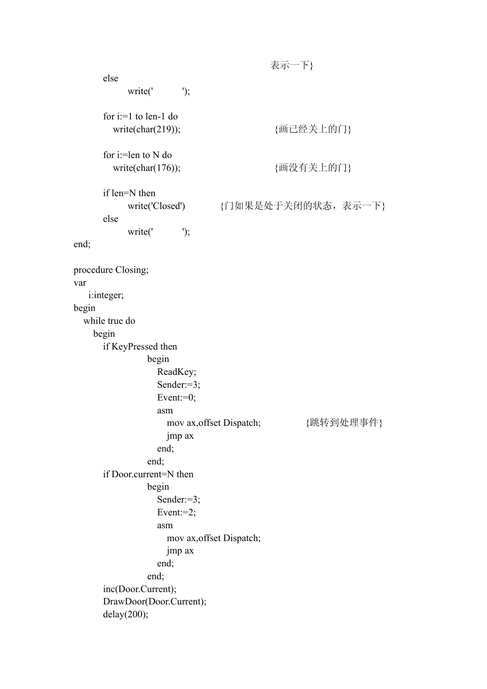表示一下} else write(' $\qquad$ '); for i:=1 to len-1 do write(char(219)); {画已经关上的门} for i:=len to N do write(char(176)); <br>  ${ \text{Im} \mathfrak{B} \oplus \text{Im} \mathfrak{B} \oplus \text{Im} \{ \text{Im} \mathfrak{B} \} }$  if len=N then write('Closed') {门如果是处于关闭的状态,表示一下} else write(' $\qquad$ '); end; procedure Closing; var i:integer; begin while true do begin if KeyPressed then begin ReadKey; Sender:=3; Event: $=0$ ; asm mov ax, offset Dispatch; <br>  $\{ \Re \ddot{x} \ \Re \Psi \ \Re \Psi \ \Re \Psi \}$  jmp ax end; end; if Door.current=N then begin Sender:=3; Event:=2; asm mov ax,offset Dispatch; jmp ax end; end; inc(Door.Current); DrawDoor(Door.Current); delay(200);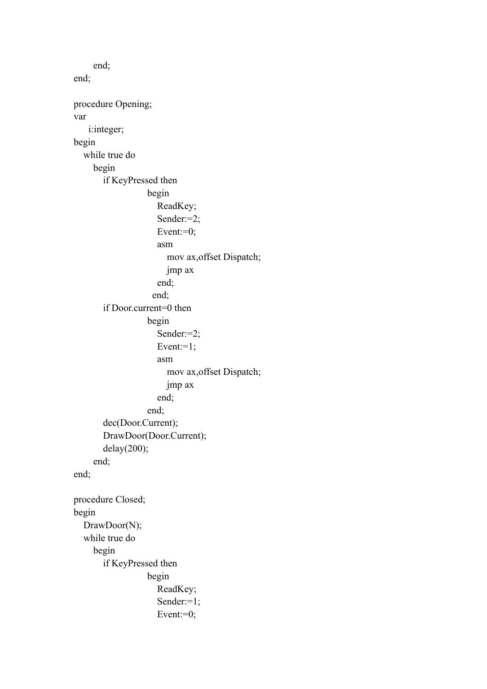end; end; procedure Opening; var i:integer; begin while true do begin if KeyPressed then begin ReadKey; Sender:=2; Event: $=0$ ; asm mov ax,offset Dispatch; jmp ax end; end; if Door.current=0 then begin Sender:=2; Event: $=1$ ; asm mov ax,offset Dispatch; jmp ax end; end; dec(Door.Current); DrawDoor(Door.Current); delay(200); end; end; procedure Closed; begin DrawDoor(N); while true do begin if KeyPressed then begin ReadKey; Sender:=1; Event: $=0$ ;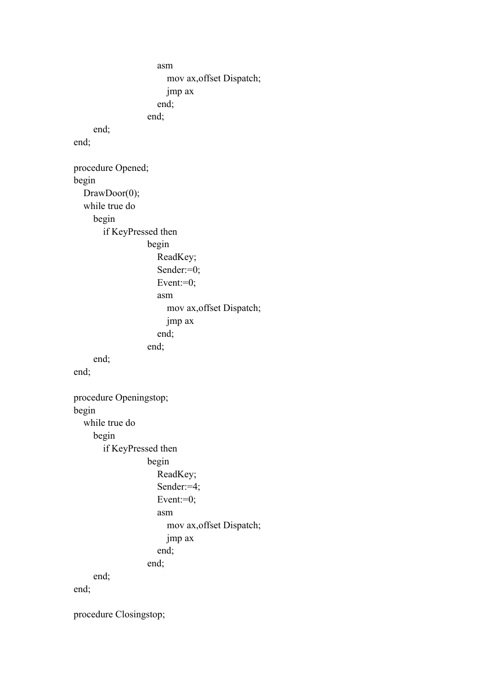```
 asm 
                           mov ax,offset Dispatch; 
                          jmp ax 
                        end; 
                     end; 
      end; 
end; 
procedure Opened; 
begin 
  DrawDoor(0);
   while true do 
      begin 
         if KeyPressed then 
                     begin 
                        ReadKey; 
                        Sender:=0; 
                       Event:=0;
                        asm 
                           mov ax,offset Dispatch; 
                          jmp ax 
                        end; 
                     end; 
      end; 
end; 
procedure Openingstop; 
begin 
   while true do 
      begin 
         if KeyPressed then 
                     begin 
                        ReadKey; 
                        Sender:=4; 
                       Event:=0;
                        asm 
                           mov ax,offset Dispatch; 
                          jmp ax 
                        end; 
                     end; 
      end; 
end; 
procedure Closingstop;
```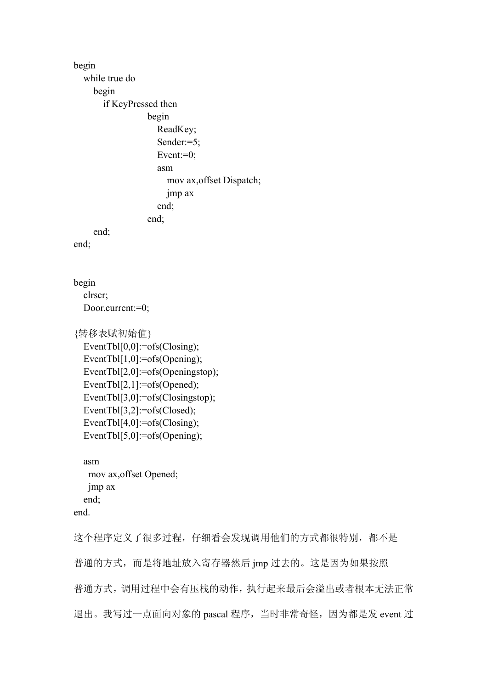begin while true do begin if KeyPressed then begin ReadKey; Sender:=5; Event: $=0$ ; asm mov ax,offset Dispatch; jmp ax end; end; end; end; begin clrscr; Door.current:=0; {转移表赋初始值} EventTbl[0,0]:=ofs(Closing); EventTbl[1,0]:=ofs(Opening); EventTbl[2,0]:=ofs(Openingstop); EventTbl[2,1]:=ofs(Opened); EventTbl[3,0]:=ofs(Closingstop); EventTbl[3,2]:=ofs(Closed); EventTbl[4,0]:=ofs(Closing); EventTbl[5,0]:=ofs(Opening); asm mov ax,offset Opened; jmp ax end; end. 这个程序定义了很多过程,仔细看会发现调用他们的方式都很特别,都不是 普通的方式,而是将地址放入寄存器然后 jmp 过去的。这是因为如果按照 普通方式,调用过程中会有压栈的动作,执行起来最后会溢出或者根本无法正常

退出。我写过一点面向对象的 pascal 程序,当时非常奇怪,因为都是发 event 过